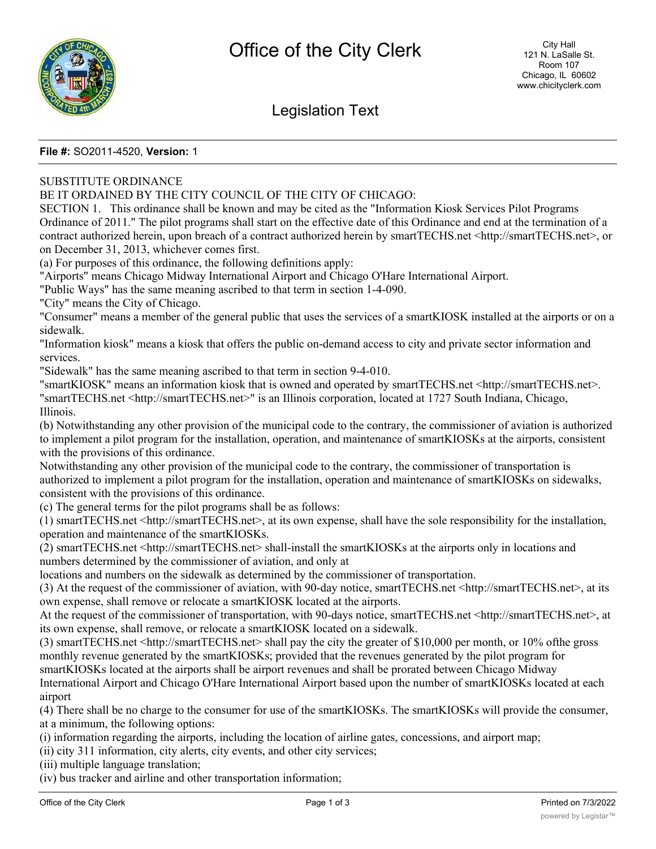

# Legislation Text

### **File #:** SO2011-4520, **Version:** 1

## SUBSTITUTE ORDINANCE

### BE IT ORDAINED BY THE CITY COUNCIL OF THE CITY OF CHICAGO:

SECTION 1. This ordinance shall be known and may be cited as the "Information Kiosk Services Pilot Programs Ordinance of 2011." The pilot programs shall start on the effective date of this Ordinance and end at the termination of a contract authorized herein, upon breach of a contract authorized herein by smartTECHS.net <http://smartTECHS.net>, or on December 31, 2013, whichever comes first.

(a) For purposes of this ordinance, the following definitions apply:

"Airports" means Chicago Midway International Airport and Chicago O'Hare International Airport.

"Public Ways" has the same meaning ascribed to that term in section 1-4-090.

"City" means the City of Chicago.

"Consumer" means a member of the general public that uses the services of a smartKIOSK installed at the airports or on a sidewalk.

"Information kiosk" means a kiosk that offers the public on-demand access to city and private sector information and services.

"Sidewalk" has the same meaning ascribed to that term in section 9-4-010.

"smartKIOSK" means an information kiosk that is owned and operated by smartTECHS.net <http://smartTECHS.net>. "smartTECHS.net <http://smartTECHS.net>" is an Illinois corporation, located at 1727 South Indiana, Chicago, Illinois.

(b) Notwithstanding any other provision of the municipal code to the contrary, the commissioner of aviation is authorized to implement a pilot program for the installation, operation, and maintenance of smartKIOSKs at the airports, consistent with the provisions of this ordinance.

Notwithstanding any other provision of the municipal code to the contrary, the commissioner of transportation is authorized to implement a pilot program for the installation, operation and maintenance of smartKIOSKs on sidewalks, consistent with the provisions of this ordinance.

(c) The general terms for the pilot programs shall be as follows:

(1) smartTECHS.net <http://smartTECHS.net>, at its own expense, shall have the sole responsibility for the installation, operation and maintenance of the smartKIOSKs.

(2) smartTECHS.net <http://smartTECHS.net> shall-install the smartKIOSKs at the airports only in locations and numbers determined by the commissioner of aviation, and only at

locations and numbers on the sidewalk as determined by the commissioner of transportation.

(3) At the request of the commissioner of aviation, with 90-day notice, smartTECHS.net <http://smartTECHS.net>, at its own expense, shall remove or relocate a smartKIOSK located at the airports.

At the request of the commissioner of transportation, with 90-days notice, smartTECHS.net <http://smartTECHS.net>, at its own expense, shall remove, or relocate a smartKIOSK located on a sidewalk.

(3) smartTECHS.net <http://smartTECHS.net> shall pay the city the greater of \$10,000 per month, or 10% ofthe gross monthly revenue generated by the smartKIOSKs; provided that the revenues generated by the pilot program for smartKIOSKs located at the airports shall be airport revenues and shall be prorated between Chicago Midway International Airport and Chicago O'Hare International Airport based upon the number of smartKIOSKs located at each airport

(4) There shall be no charge to the consumer for use of the smartKIOSKs. The smartKIOSKs will provide the consumer, at a minimum, the following options:

(i) information regarding the airports, including the location of airline gates, concessions, and airport map;

(ii) city 311 information, city alerts, city events, and other city services;

(iii) multiple language translation;

(iv) bus tracker and airline and other transportation information;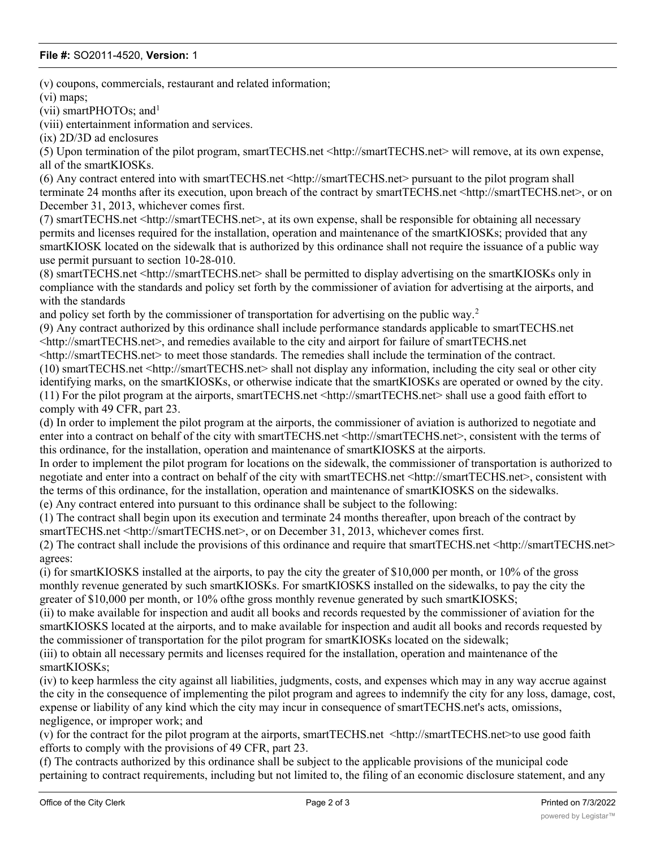### **File #:** SO2011-4520, **Version:** 1

(v) coupons, commercials, restaurant and related information;

(vi) maps;

(vii) smartPHOTOs; and<sup>1</sup>

(viii) entertainment information and services.

(ix) 2D/3D ad enclosures

(5) Upon termination of the pilot program, smartTECHS.net <http://smartTECHS.net> will remove, at its own expense, all of the smartKIOSKs.

(6) Any contract entered into with smartTECHS.net <http://smartTECHS.net> pursuant to the pilot program shall terminate 24 months after its execution, upon breach of the contract by smartTECHS.net <http://smartTECHS.net>, or on December 31, 2013, whichever comes first.

(7) smartTECHS.net <http://smartTECHS.net>, at its own expense, shall be responsible for obtaining all necessary permits and licenses required for the installation, operation and maintenance of the smartKIOSKs; provided that any smartKIOSK located on the sidewalk that is authorized by this ordinance shall not require the issuance of a public way use permit pursuant to section 10-28-010.

(8) smartTECHS.net <http://smartTECHS.net> shall be permitted to display advertising on the smartKIOSKs only in compliance with the standards and policy set forth by the commissioner of aviation for advertising at the airports, and with the standards

and policy set forth by the commissioner of transportation for advertising on the public way.<sup>2</sup>

(9) Any contract authorized by this ordinance shall include performance standards applicable to smartTECHS.net <http://smartTECHS.net>, and remedies available to the city and airport for failure of smartTECHS.net

<http://smartTECHS.net> to meet those standards. The remedies shall include the termination of the contract.

(10) smartTECHS.net <http://smartTECHS.net> shall not display any information, including the city seal or other city identifying marks, on the smartKIOSKs, or otherwise indicate that the smartKIOSKs are operated or owned by the city. (11) For the pilot program at the airports, smartTECHS.net <http://smartTECHS.net> shall use a good faith effort to comply with 49 CFR, part 23.

(d) In order to implement the pilot program at the airports, the commissioner of aviation is authorized to negotiate and enter into a contract on behalf of the city with smartTECHS.net <http://smartTECHS.net>, consistent with the terms of this ordinance, for the installation, operation and maintenance of smartKIOSKS at the airports.

In order to implement the pilot program for locations on the sidewalk, the commissioner of transportation is authorized to negotiate and enter into a contract on behalf of the city with smartTECHS.net <http://smartTECHS.net>, consistent with the terms of this ordinance, for the installation, operation and maintenance of smartKIOSKS on the sidewalks.

(e) Any contract entered into pursuant to this ordinance shall be subject to the following:

(1) The contract shall begin upon its execution and terminate 24 months thereafter, upon breach of the contract by smartTECHS.net <http://smartTECHS.net>, or on December 31, 2013, whichever comes first.

(2) The contract shall include the provisions of this ordinance and require that smartTECHS.net <http://smartTECHS.net> agrees:

(i) for smartKIOSKS installed at the airports, to pay the city the greater of \$10,000 per month, or 10% of the gross monthly revenue generated by such smartKIOSKs. For smartKIOSKS installed on the sidewalks, to pay the city the greater of \$10,000 per month, or 10% ofthe gross monthly revenue generated by such smartKIOSKS;

(ii) to make available for inspection and audit all books and records requested by the commissioner of aviation for the smartKIOSKS located at the airports, and to make available for inspection and audit all books and records requested by the commissioner of transportation for the pilot program for smartKIOSKs located on the sidewalk;

(iii) to obtain all necessary permits and licenses required for the installation, operation and maintenance of the smartKIOSKs;

(iv) to keep harmless the city against all liabilities, judgments, costs, and expenses which may in any way accrue against the city in the consequence of implementing the pilot program and agrees to indemnify the city for any loss, damage, cost, expense or liability of any kind which the city may incur in consequence of smartTECHS.net's acts, omissions, negligence, or improper work; and

(v) for the contract for the pilot program at the airports, smartTECHS.net <http://smartTECHS.net>to use good faith efforts to comply with the provisions of 49 CFR, part 23.

(f) The contracts authorized by this ordinance shall be subject to the applicable provisions of the municipal code pertaining to contract requirements, including but not limited to, the filing of an economic disclosure statement, and any